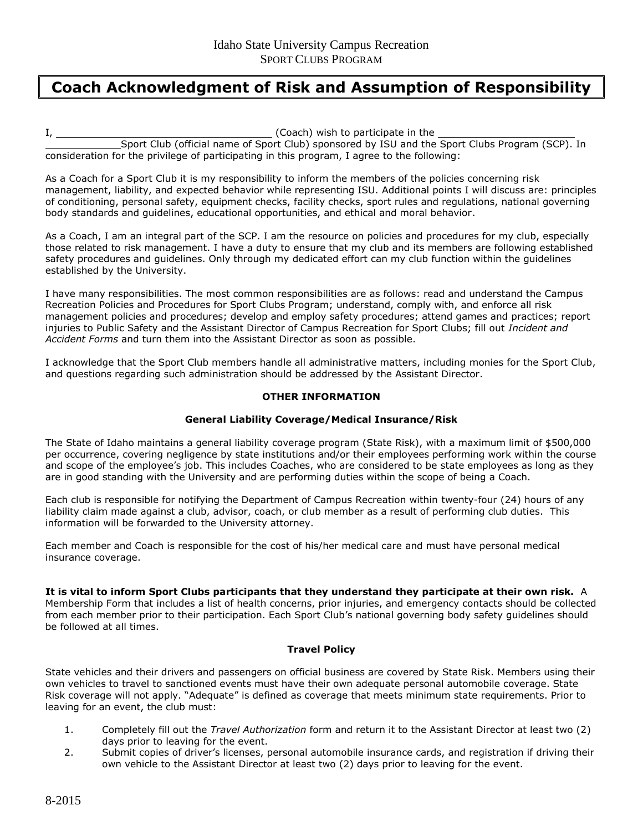# **Coach Acknowledgment of Risk and Assumption of Responsibility**

I, (Coach) wish to participate in the Sport Club (official name of Sport Club) sponsored by ISU and the Sport Clubs Program (SCP). In consideration for the privilege of participating in this program, I agree to the following:

As a Coach for a Sport Club it is my responsibility to inform the members of the policies concerning risk management, liability, and expected behavior while representing ISU. Additional points I will discuss are: principles of conditioning, personal safety, equipment checks, facility checks, sport rules and regulations, national governing body standards and guidelines, educational opportunities, and ethical and moral behavior.

As a Coach, I am an integral part of the SCP. I am the resource on policies and procedures for my club, especially those related to risk management. I have a duty to ensure that my club and its members are following established safety procedures and guidelines. Only through my dedicated effort can my club function within the guidelines established by the University.

I have many responsibilities. The most common responsibilities are as follows: read and understand the Campus Recreation Policies and Procedures for Sport Clubs Program; understand, comply with, and enforce all risk management policies and procedures; develop and employ safety procedures; attend games and practices; report injuries to Public Safety and the Assistant Director of Campus Recreation for Sport Clubs; fill out *Incident and Accident Forms* and turn them into the Assistant Director as soon as possible.

I acknowledge that the Sport Club members handle all administrative matters, including monies for the Sport Club, and questions regarding such administration should be addressed by the Assistant Director.

#### **OTHER INFORMATION**

## **General Liability Coverage/Medical Insurance/Risk**

The State of Idaho maintains a general liability coverage program (State Risk), with a maximum limit of \$500,000 per occurrence, covering negligence by state institutions and/or their employees performing work within the course and scope of the employee's job. This includes Coaches, who are considered to be state employees as long as they are in good standing with the University and are performing duties within the scope of being a Coach.

Each club is responsible for notifying the Department of Campus Recreation within twenty-four (24) hours of any liability claim made against a club, advisor, coach, or club member as a result of performing club duties. This information will be forwarded to the University attorney.

Each member and Coach is responsible for the cost of his/her medical care and must have personal medical insurance coverage.

**It is vital to inform Sport Clubs participants that they understand they participate at their own risk.** A Membership Form that includes a list of health concerns, prior injuries, and emergency contacts should be collected from each member prior to their participation. Each Sport Club's national governing body safety guidelines should be followed at all times.

## **Travel Policy**

State vehicles and their drivers and passengers on official business are covered by State Risk. Members using their own vehicles to travel to sanctioned events must have their own adequate personal automobile coverage. State Risk coverage will not apply. "Adequate" is defined as coverage that meets minimum state requirements. Prior to leaving for an event, the club must:

- 1. Completely fill out the *Travel Authorization* form and return it to the Assistant Director at least two (2) days prior to leaving for the event.
- 2. Submit copies of driver's licenses, personal automobile insurance cards, and registration if driving their own vehicle to the Assistant Director at least two (2) days prior to leaving for the event.